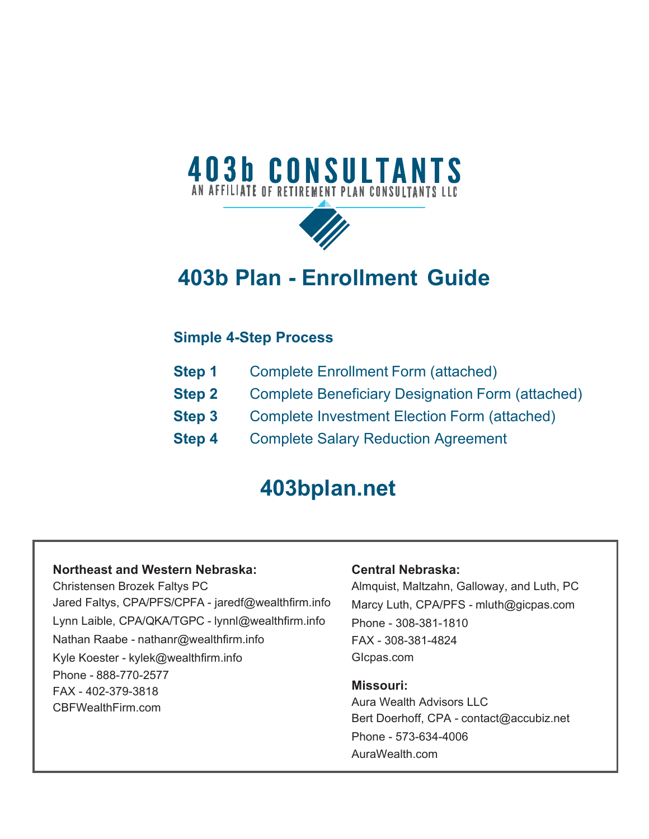# **403b CONSULTANTS**



# **403b Plan - Enrollment Guide**

# **Simple 4-Step Process**

| <b>Step 1</b> |  | <b>Complete Enrollment Form (attached)</b> |  |
|---------------|--|--------------------------------------------|--|
|---------------|--|--------------------------------------------|--|

- **Step 2** Complete Beneficiary Designation Form (attached)
- **Step 3** Complete Investment Election Form (attached)
- **Step 4** Complete Salary Reduction Agreement

# **403bplan.net**

### **Northeast and Western Nebraska:**

Christensen Brozek Faltys PC Jared Faltys, CPA/PFS/CPFA - jaredf@wealthfirm.info Lynn Laible, CPA/QKA/TGPC - lynnl@wealthfirm.info Nathan Raabe - nathanr@wealthfirm.info Kyle Koester - kylek@wealthfirm.info Phone - 888-770-2577 FAX - 402-379-3818 CBFWealthFirm.com

## **Central Nebraska:**

Almquist, Maltzahn, Galloway, and Luth, PC Marcy Luth, CPA/PFS - mluth@gicpas.com Phone - 308-381-1810 FAX - 308-381-4824 GIcpas.com

### **Missouri:**

Aura Wealth Advisors LLC Bert Doerhoff, CPA - contact@accubiz.net Phone - 573-634-4006 AuraWealth.com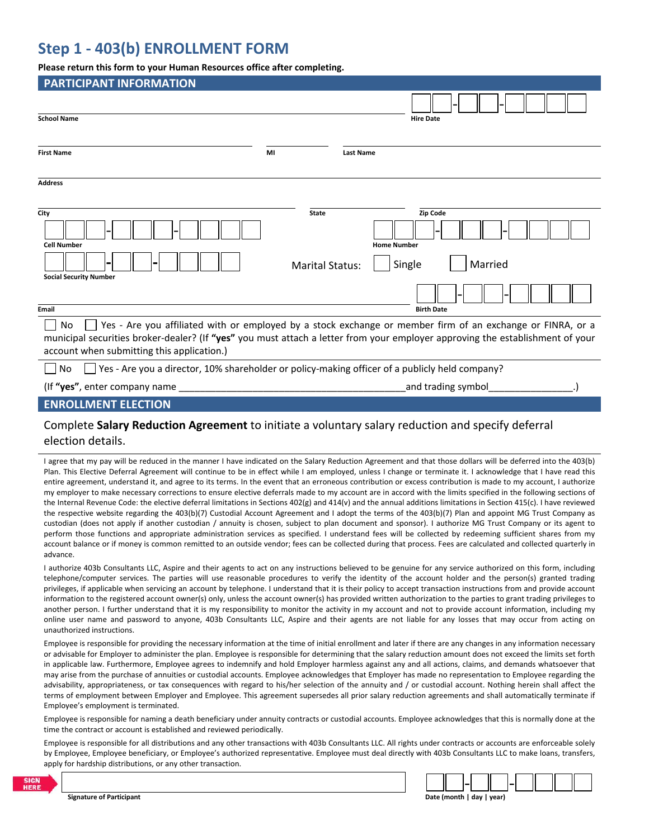# **Step 1 ‐ 403(b) ENROLLMENT FORM**

#### **Please return this form to your Human Resources office after completing.**

| <b>PARTICIPANT INFORMATION</b>                                                                                                |                        |                  |                    |  |
|-------------------------------------------------------------------------------------------------------------------------------|------------------------|------------------|--------------------|--|
|                                                                                                                               |                        |                  |                    |  |
| <b>School Name</b>                                                                                                            |                        |                  | <b>Hire Date</b>   |  |
|                                                                                                                               |                        |                  |                    |  |
| <b>First Name</b>                                                                                                             | MI                     | <b>Last Name</b> |                    |  |
|                                                                                                                               |                        |                  |                    |  |
| <b>Address</b>                                                                                                                |                        |                  |                    |  |
|                                                                                                                               |                        |                  |                    |  |
| City                                                                                                                          | <b>State</b>           |                  | Zip Code           |  |
|                                                                                                                               |                        |                  |                    |  |
| <b>Cell Number</b>                                                                                                            |                        |                  | <b>Home Number</b> |  |
|                                                                                                                               | <b>Marital Status:</b> |                  | Married<br>Single  |  |
| <b>Social Security Number</b>                                                                                                 |                        |                  |                    |  |
|                                                                                                                               |                        |                  |                    |  |
| Email                                                                                                                         |                        |                  | <b>Birth Date</b>  |  |
| Yes - Are you affiliated with or employed by a stock exchange or member firm of an exchange or FINRA, or a<br>No.             |                        |                  |                    |  |
| municipal securities broker-dealer? (If "yes" you must attach a letter from your employer approving the establishment of your |                        |                  |                    |  |
| account when submitting this application.)                                                                                    |                        |                  |                    |  |
| Yes - Are you a director, 10% shareholder or policy-making officer of a publicly held company?<br>No                          |                        |                  |                    |  |
| (If "yes", enter company name                                                                                                 |                        |                  | and trading symbol |  |
| <b>ENROLLMENT ELECTION</b>                                                                                                    |                        |                  |                    |  |
|                                                                                                                               |                        |                  |                    |  |

### Complete **Salary Reduction Agreement** to initiate a voluntary salary reduction and specify deferral election details.

I agree that my pay will be reduced in the manner I have indicated on the Salary Reduction Agreement and that those dollars will be deferred into the 403(b) Plan. This Elective Deferral Agreement will continue to be in effect while I am employed, unless I change or terminate it. I acknowledge that I have read this entire agreement, understand it, and agree to its terms. In the event that an erroneous contribution or excess contribution is made to my account, I authorize my employer to make necessary corrections to ensure elective deferrals made to my account are in accord with the limits specified in the following sections of the Internal Revenue Code: the elective deferral limitations in Sections 402(g) and 414(v) and the annual additions limitations in Section 415(c). I have reviewed the respective website regarding the 403(b)(7) Custodial Account Agreement and I adopt the terms of the 403(b)(7) Plan and appoint MG Trust Company as custodian (does not apply if another custodian / annuity is chosen, subject to plan document and sponsor). I authorize MG Trust Company or its agent to perform those functions and appropriate administration services as specified. I understand fees will be collected by redeeming sufficient shares from my account balance or if money is common remitted to an outside vendor; fees can be collected during that process. Fees are calculated and collected quarterly in advance.

I authorize 403b Consultants LLC, Aspire and their agents to act on any instructions believed to be genuine for any service authorized on this form, including telephone/computer services. The parties will use reasonable procedures to verify the identity of the account holder and the person(s) granted trading privileges, if applicable when servicing an account by telephone. I understand that it is their policy to accept transaction instructions from and provide account information to the registered account owner(s) only, unless the account owner(s) has provided written authorization to the parties to grant trading privileges to another person. I further understand that it is my responsibility to monitor the activity in my account and not to provide account information, including my online user name and password to anyone, 403b Consultants LLC, Aspire and their agents are not liable for any losses that may occur from acting on unauthorized instructions.

Employee is responsible for providing the necessary information at the time of initial enrollment and later if there are any changes in any information necessary or advisable for Employer to administer the plan. Employee is responsible for determining that the salary reduction amount does not exceed the limits set forth in applicable law. Furthermore, Employee agrees to indemnify and hold Employer harmless against any and all actions, claims, and demands whatsoever that may arise from the purchase of annuities or custodial accounts. Employee acknowledges that Employer has made no representation to Employee regarding the advisability, appropriateness, or tax consequences with regard to his/her selection of the annuity and / or custodial account. Nothing herein shall affect the terms of employment between Employer and Employee. This agreement supersedes all prior salary reduction agreements and shall automatically terminate if Employee's employment is terminated.

Employee is responsible for naming a death beneficiary under annuity contracts or custodial accounts. Employee acknowledges that this is normally done at the time the contract or account is established and reviewed periodically.

Employee is responsible for all distributions and any other transactions with 403b Consultants LLC. All rights under contracts or accounts are enforceable solely by Employee, Employee beneficiary, or Employee's authorized representative. Employee must deal directly with 403b Consultants LLC to make loans, transfers, apply for hardship distributions, or any other transaction.

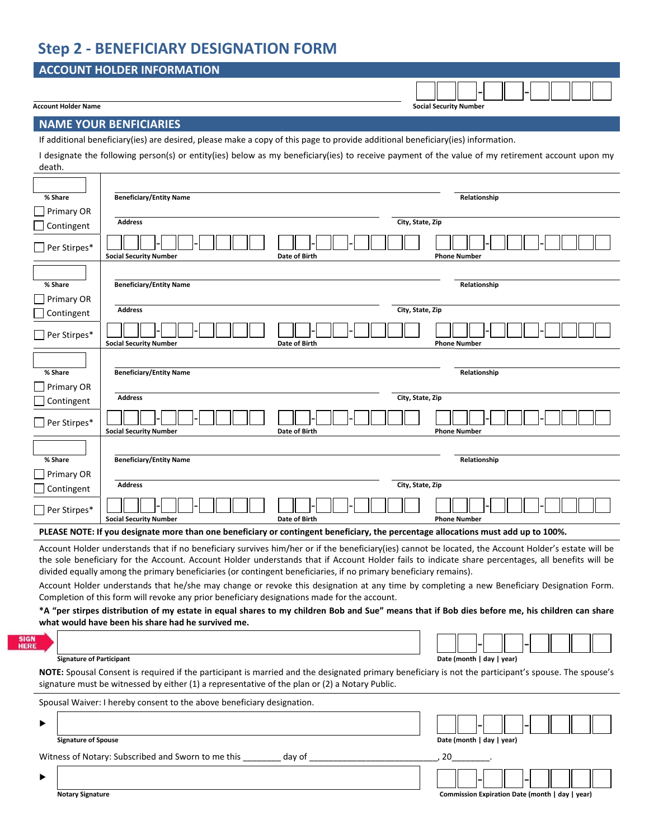# **Step 2 ‐ BENEFICIARY DESIGNATION FORM**

## **ACCOUNT HOLDER INFORMATION**

#### **Account Holder Name Social Security Number**

‐ ‐

**Notary Signature Commission Expiration Date (month | day | year)**

#### **NAME YOUR BENFICIARIES**

If additional beneficiary(ies) are desired, please make a copy of this page to provide additional beneficiary(ies) information.

I designate the following person(s) or entity(ies) below as my beneficiary(ies) to receive payment of the value of my retirement account upon my death.

| % Share             |                            | <b>Beneficiary/Entity Name</b>                                                                                                                                                                                                             |                  | Relationship              |
|---------------------|----------------------------|--------------------------------------------------------------------------------------------------------------------------------------------------------------------------------------------------------------------------------------------|------------------|---------------------------|
| Primary OR          |                            |                                                                                                                                                                                                                                            |                  |                           |
| Contingent          |                            | <b>Address</b>                                                                                                                                                                                                                             | City, State, Zip |                           |
| $\Box$ Per Stirpes* |                            | Date of Birth<br><b>Social Security Number</b>                                                                                                                                                                                             |                  | <b>Phone Number</b>       |
|                     |                            |                                                                                                                                                                                                                                            |                  |                           |
| % Share             |                            | <b>Beneficiary/Entity Name</b>                                                                                                                                                                                                             |                  | Relationship              |
| $\Box$ Primary OR   |                            |                                                                                                                                                                                                                                            |                  |                           |
| Contingent          |                            | <b>Address</b>                                                                                                                                                                                                                             | City, State, Zip |                           |
| Per Stirpes*        |                            | <b>Social Security Number</b><br>Date of Birth                                                                                                                                                                                             |                  | <b>Phone Number</b>       |
|                     |                            |                                                                                                                                                                                                                                            |                  |                           |
| % Share             |                            | <b>Beneficiary/Entity Name</b>                                                                                                                                                                                                             |                  | Relationship              |
| Primary OR          |                            |                                                                                                                                                                                                                                            |                  |                           |
| Contingent          |                            | <b>Address</b>                                                                                                                                                                                                                             | City, State, Zip |                           |
| $\Box$ Per Stirpes* |                            | <b>Social Security Number</b><br>Date of Birth                                                                                                                                                                                             |                  | <b>Phone Number</b>       |
|                     |                            |                                                                                                                                                                                                                                            |                  |                           |
| % Share             |                            | <b>Beneficiary/Entity Name</b>                                                                                                                                                                                                             |                  | Relationship              |
| Primary OR          |                            |                                                                                                                                                                                                                                            |                  |                           |
| $\Box$ Contingent   |                            | <b>Address</b>                                                                                                                                                                                                                             | City, State, Zip |                           |
| Per Stirpes*        |                            | <b>Social Security Number</b><br>Date of Birth                                                                                                                                                                                             |                  | <b>Phone Number</b>       |
|                     |                            | PLEASE NOTE: If you designate more than one beneficiary or contingent beneficiary, the percentage allocations must add up to 100%.                                                                                                         |                  |                           |
|                     |                            | Account Holder understands that if no beneficiary survives him/her or if the beneficiary(ies) cannot be located, the Account Holder's estate will be                                                                                       |                  |                           |
|                     |                            | the sole beneficiary for the Account. Account Holder understands that if Account Holder fails to indicate share percentages, all benefits will be                                                                                          |                  |                           |
|                     |                            | divided equally among the primary beneficiaries (or contingent beneficiaries, if no primary beneficiary remains).                                                                                                                          |                  |                           |
|                     |                            | Account Holder understands that he/she may change or revoke this designation at any time by completing a new Beneficiary Designation Form.<br>Completion of this form will revoke any prior beneficiary designations made for the account. |                  |                           |
|                     |                            | *A "per stirpes distribution of my estate in equal shares to my children Bob and Sue" means that if Bob dies before me, his children can share                                                                                             |                  |                           |
|                     |                            | what would have been his share had he survived me.                                                                                                                                                                                         |                  |                           |
|                     |                            |                                                                                                                                                                                                                                            |                  |                           |
|                     |                            |                                                                                                                                                                                                                                            |                  |                           |
|                     |                            | <b>Signature of Participant</b><br>NOTE: Spousal Consent is required if the participant is married and the designated primary beneficiary is not the participant's spouse. The spouse's                                                    |                  | Date (month   day   year) |
|                     |                            | signature must be witnessed by either (1) a representative of the plan or (2) a Notary Public.                                                                                                                                             |                  |                           |
|                     |                            | Spousal Waiver: I hereby consent to the above beneficiary designation.                                                                                                                                                                     |                  |                           |
|                     |                            |                                                                                                                                                                                                                                            |                  |                           |
|                     | <b>Signature of Spouse</b> |                                                                                                                                                                                                                                            |                  | Date (month   day   year) |
|                     |                            | Witness of Notary: Subscribed and Sworn to me this<br>day of                                                                                                                                                                               |                  | 20                        |
|                     |                            |                                                                                                                                                                                                                                            |                  |                           |

|  | <b>Notary Signature</b> |
|--|-------------------------|
|--|-------------------------|